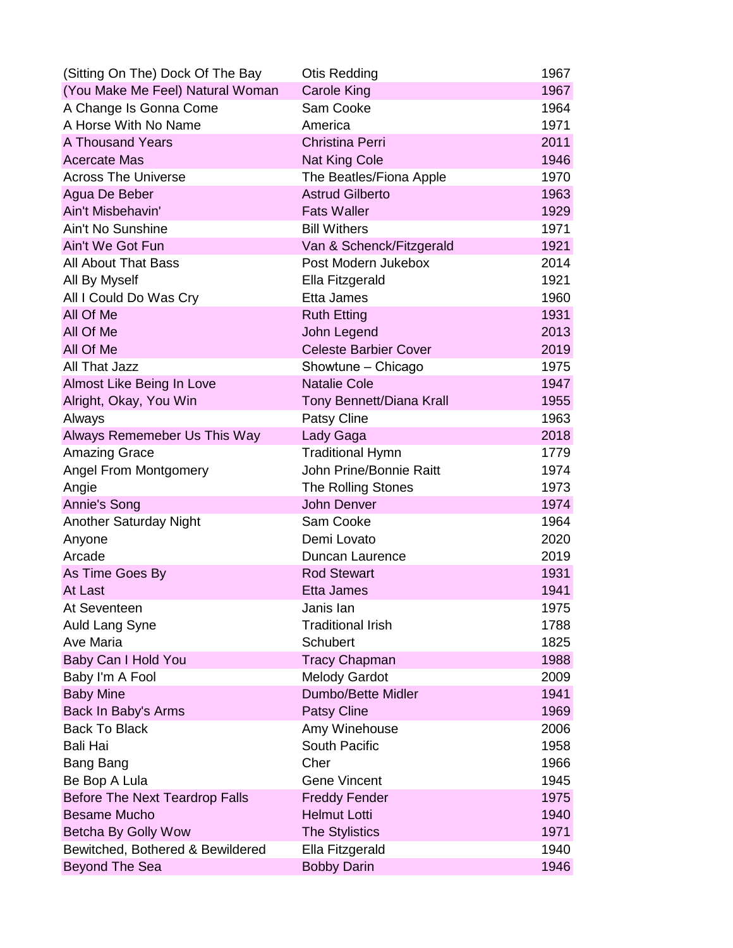| (Sitting On The) Dock Of The Bay                       | Otis Redding                   | 1967         |
|--------------------------------------------------------|--------------------------------|--------------|
| (You Make Me Feel) Natural Woman                       | <b>Carole King</b>             | 1967         |
| A Change Is Gonna Come                                 | Sam Cooke                      | 1964         |
| A Horse With No Name                                   | America                        | 1971         |
| A Thousand Years                                       | <b>Christina Perri</b>         | 2011         |
| <b>Acercate Mas</b>                                    | <b>Nat King Cole</b>           | 1946         |
| <b>Across The Universe</b>                             | The Beatles/Fiona Apple        | 1970         |
| Agua De Beber                                          | <b>Astrud Gilberto</b>         | 1963         |
| Ain't Misbehavin'                                      | <b>Fats Waller</b>             | 1929         |
| Ain't No Sunshine                                      | <b>Bill Withers</b>            | 1971         |
| Ain't We Got Fun                                       | Van & Schenck/Fitzgerald       | 1921         |
| <b>All About That Bass</b>                             | Post Modern Jukebox            | 2014         |
| All By Myself                                          | Ella Fitzgerald                | 1921         |
| All I Could Do Was Cry                                 | Etta James                     | 1960         |
| All Of Me                                              | <b>Ruth Etting</b>             | 1931         |
| All Of Me                                              | John Legend                    | 2013         |
| All Of Me                                              | <b>Celeste Barbier Cover</b>   | 2019         |
| All That Jazz                                          | Showtune - Chicago             | 1975         |
| Almost Like Being In Love                              | <b>Natalie Cole</b>            | 1947         |
| Alright, Okay, You Win                                 | Tony Bennett/Diana Krall       | 1955         |
| Always                                                 | Patsy Cline                    | 1963         |
| Always Rememeber Us This Way                           | Lady Gaga                      | 2018         |
| <b>Amazing Grace</b>                                   | <b>Traditional Hymn</b>        | 1779         |
| <b>Angel From Montgomery</b>                           | <b>John Prine/Bonnie Raitt</b> | 1974         |
| Angie                                                  | <b>The Rolling Stones</b>      | 1973         |
| Annie's Song                                           | <b>John Denver</b>             | 1974         |
| <b>Another Saturday Night</b>                          | Sam Cooke                      | 1964         |
| Anyone                                                 | Demi Lovato                    | 2020         |
| Arcade                                                 | Duncan Laurence                | 2019         |
| As Time Goes By                                        | <b>Rod Stewart</b>             | 1931         |
| At Last                                                | <b>Etta James</b>              | 1941         |
| At Seventeen                                           | Janis lan                      | 1975         |
| Auld Lang Syne                                         | <b>Traditional Irish</b>       | 1788         |
| Ave Maria                                              | <b>Schubert</b>                | 1825         |
| Baby Can I Hold You                                    | <b>Tracy Chapman</b>           | 1988         |
| Baby I'm A Fool                                        | <b>Melody Gardot</b>           | 2009         |
| <b>Baby Mine</b>                                       | Dumbo/Bette Midler             | 1941         |
| Back In Baby's Arms                                    | <b>Patsy Cline</b>             | 1969         |
| <b>Back To Black</b><br><b>Bali Hai</b>                | Amy Winehouse<br>South Pacific | 2006<br>1958 |
|                                                        | Cher                           | 1966         |
| Bang Bang                                              | <b>Gene Vincent</b>            | 1945         |
| Be Bop A Lula<br><b>Before The Next Teardrop Falls</b> | <b>Freddy Fender</b>           | 1975         |
| <b>Besame Mucho</b>                                    | <b>Helmut Lotti</b>            | 1940         |
| Betcha By Golly Wow                                    | <b>The Stylistics</b>          | 1971         |
| Bewitched, Bothered & Bewildered                       | Ella Fitzgerald                | 1940         |
| <b>Beyond The Sea</b>                                  | <b>Bobby Darin</b>             | 1946         |
|                                                        |                                |              |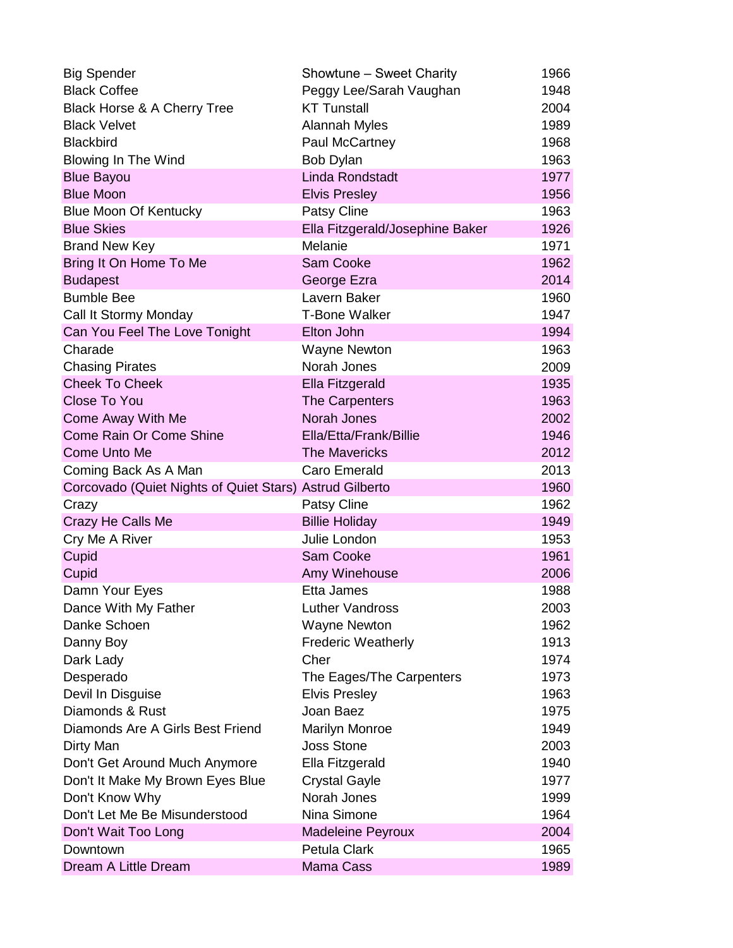| <b>Big Spender</b>                                      | Showtune - Sweet Charity        | 1966 |
|---------------------------------------------------------|---------------------------------|------|
| <b>Black Coffee</b>                                     | Peggy Lee/Sarah Vaughan         | 1948 |
| Black Horse & A Cherry Tree                             | <b>KT Tunstall</b>              | 2004 |
| <b>Black Velvet</b>                                     | Alannah Myles                   | 1989 |
| <b>Blackbird</b>                                        | Paul McCartney                  | 1968 |
| <b>Blowing In The Wind</b>                              | Bob Dylan                       | 1963 |
| <b>Blue Bayou</b>                                       | <b>Linda Rondstadt</b>          | 1977 |
| <b>Blue Moon</b>                                        | <b>Elvis Presley</b>            | 1956 |
| <b>Blue Moon Of Kentucky</b>                            | <b>Patsy Cline</b>              | 1963 |
| <b>Blue Skies</b>                                       | Ella Fitzgerald/Josephine Baker | 1926 |
| <b>Brand New Key</b>                                    | Melanie                         | 1971 |
| Bring It On Home To Me                                  | <b>Sam Cooke</b>                | 1962 |
| <b>Budapest</b>                                         | George Ezra                     | 2014 |
| <b>Bumble Bee</b>                                       | Lavern Baker                    | 1960 |
| Call It Stormy Monday                                   | <b>T-Bone Walker</b>            | 1947 |
| Can You Feel The Love Tonight                           | Elton John                      | 1994 |
| Charade                                                 | <b>Wayne Newton</b>             | 1963 |
| <b>Chasing Pirates</b>                                  | Norah Jones                     | 2009 |
| <b>Cheek To Cheek</b>                                   | <b>Ella Fitzgerald</b>          | 1935 |
| <b>Close To You</b>                                     | The Carpenters                  | 1963 |
| Come Away With Me                                       | Norah Jones                     | 2002 |
| Come Rain Or Come Shine                                 | Ella/Etta/Frank/Billie          | 1946 |
| Come Unto Me                                            | <b>The Mavericks</b>            | 2012 |
| Coming Back As A Man                                    | Caro Emerald                    | 2013 |
| Corcovado (Quiet Nights of Quiet Stars) Astrud Gilberto |                                 | 1960 |
| Crazy                                                   | Patsy Cline                     | 1962 |
| Crazy He Calls Me                                       | <b>Billie Holiday</b>           | 1949 |
| Cry Me A River                                          | Julie London                    | 1953 |
| Cupid                                                   | <b>Sam Cooke</b>                | 1961 |
| Cupid                                                   | Amy Winehouse                   | 2006 |
| Damn Your Eyes                                          | Etta James                      | 1988 |
| Dance With My Father                                    | <b>Luther Vandross</b>          | 2003 |
| Danke Schoen                                            | <b>Wayne Newton</b>             | 1962 |
| Danny Boy                                               | <b>Frederic Weatherly</b>       | 1913 |
| Dark Lady                                               | Cher                            | 1974 |
| Desperado                                               | The Eages/The Carpenters        | 1973 |
| Devil In Disguise                                       | <b>Elvis Presley</b>            | 1963 |
| Diamonds & Rust                                         | Joan Baez                       | 1975 |
| Diamonds Are A Girls Best Friend                        | <b>Marilyn Monroe</b>           | 1949 |
| Dirty Man                                               | <b>Joss Stone</b>               | 2003 |
| Don't Get Around Much Anymore                           | Ella Fitzgerald                 | 1940 |
| Don't It Make My Brown Eyes Blue                        | <b>Crystal Gayle</b>            | 1977 |
| Don't Know Why                                          | Norah Jones                     | 1999 |
| Don't Let Me Be Misunderstood                           | Nina Simone                     | 1964 |
| Don't Wait Too Long                                     | <b>Madeleine Peyroux</b>        | 2004 |
| Downtown                                                | Petula Clark                    | 1965 |
| Dream A Little Dream                                    | Mama Cass                       | 1989 |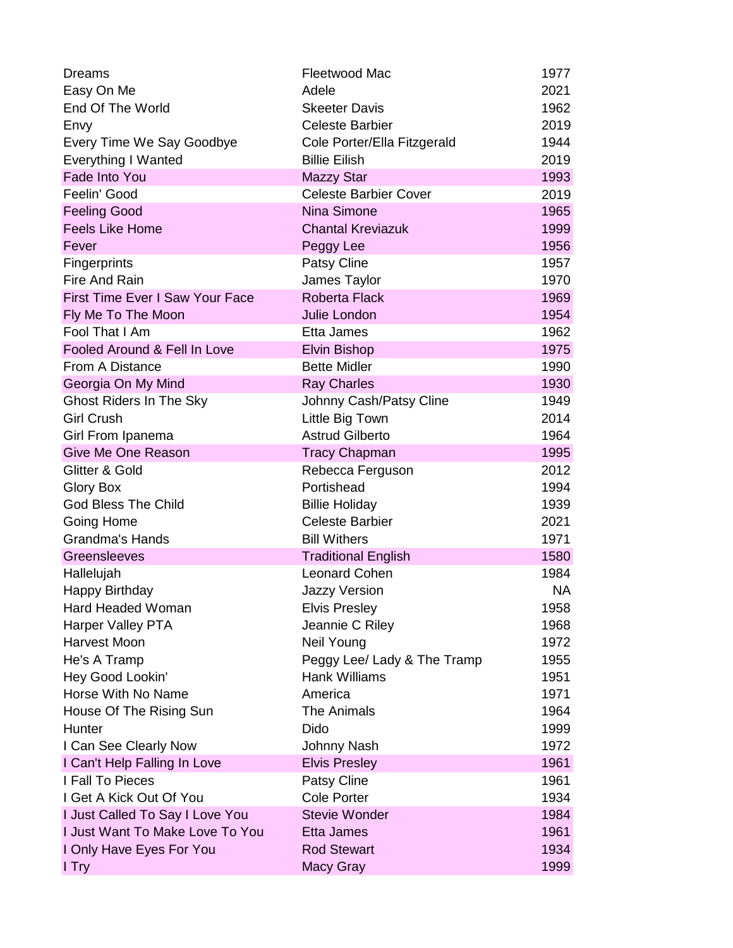| <b>Dreams</b>                   | Fleetwood Mac                | 1977      |
|---------------------------------|------------------------------|-----------|
| Easy On Me                      | Adele                        | 2021      |
| End Of The World                | <b>Skeeter Davis</b>         | 1962      |
| Envy                            | <b>Celeste Barbier</b>       | 2019      |
| Every Time We Say Goodbye       | Cole Porter/Ella Fitzgerald  | 1944      |
| <b>Everything I Wanted</b>      | <b>Billie Eilish</b>         | 2019      |
| Fade Into You                   | <b>Mazzy Star</b>            | 1993      |
| Feelin' Good                    | <b>Celeste Barbier Cover</b> | 2019      |
| <b>Feeling Good</b>             | <b>Nina Simone</b>           | 1965      |
| <b>Feels Like Home</b>          | <b>Chantal Kreviazuk</b>     | 1999      |
| Fever                           | Peggy Lee                    | 1956      |
| <b>Fingerprints</b>             | Patsy Cline                  | 1957      |
| Fire And Rain                   | James Taylor                 | 1970      |
| First Time Ever I Saw Your Face | <b>Roberta Flack</b>         | 1969      |
| Fly Me To The Moon              | <b>Julie London</b>          | 1954      |
| Fool That I Am                  | Etta James                   | 1962      |
| Fooled Around & Fell In Love    | <b>Elvin Bishop</b>          | 1975      |
| From A Distance                 | <b>Bette Midler</b>          | 1990      |
| Georgia On My Mind              | <b>Ray Charles</b>           | 1930      |
| <b>Ghost Riders In The Sky</b>  | Johnny Cash/Patsy Cline      | 1949      |
| <b>Girl Crush</b>               | Little Big Town              | 2014      |
| Girl From Ipanema               | <b>Astrud Gilberto</b>       | 1964      |
| Give Me One Reason              | <b>Tracy Chapman</b>         | 1995      |
| Glitter & Gold                  | Rebecca Ferguson             | 2012      |
| Glory Box                       | Portishead                   | 1994      |
| <b>God Bless The Child</b>      | <b>Billie Holiday</b>        | 1939      |
| Going Home                      | <b>Celeste Barbier</b>       | 2021      |
| <b>Grandma's Hands</b>          | <b>Bill Withers</b>          | 1971      |
| Greensleeves                    | <b>Traditional English</b>   | 1580      |
| Hallelujah                      | <b>Leonard Cohen</b>         | 1984      |
| Happy Birthday                  | <b>Jazzy Version</b>         | <b>NA</b> |
| Hard Headed Woman               | <b>Elvis Presley</b>         | 1958      |
| Harper Valley PTA               | Jeannie C Riley              | 1968      |
| Harvest Moon                    | Neil Young                   | 1972      |
| He's A Tramp                    | Peggy Lee/ Lady & The Tramp  | 1955      |
| Hey Good Lookin'                | <b>Hank Williams</b>         | 1951      |
| Horse With No Name              | America                      | 1971      |
| House Of The Rising Sun         | <b>The Animals</b>           | 1964      |
| Hunter                          | Dido                         | 1999      |
| I Can See Clearly Now           | Johnny Nash                  | 1972      |
| I Can't Help Falling In Love    | <b>Elvis Presley</b>         | 1961      |
| I Fall To Pieces                | <b>Patsy Cline</b>           | 1961      |
| I Get A Kick Out Of You         | <b>Cole Porter</b>           | 1934      |
| I Just Called To Say I Love You | <b>Stevie Wonder</b>         | 1984      |
| I Just Want To Make Love To You | Etta James                   | 1961      |
| I Only Have Eyes For You        | <b>Rod Stewart</b>           | 1934      |
| I Try                           | Macy Gray                    | 1999      |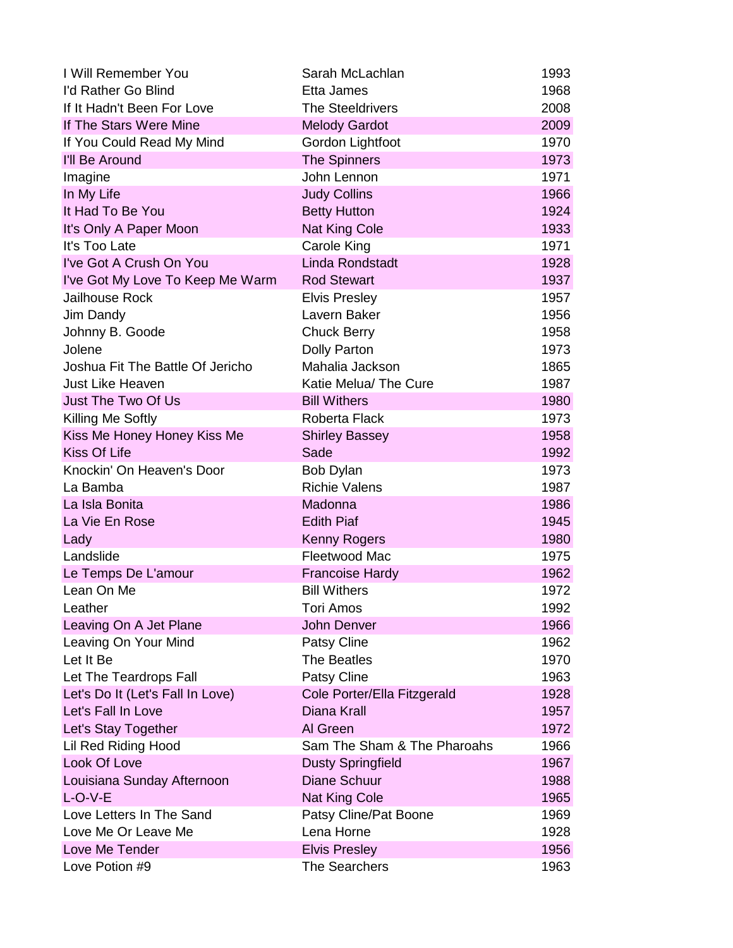| I Will Remember You              | Sarah McLachlan             | 1993 |
|----------------------------------|-----------------------------|------|
| I'd Rather Go Blind              | Etta James                  | 1968 |
| If It Hadn't Been For Love       | <b>The Steeldrivers</b>     | 2008 |
| If The Stars Were Mine           | <b>Melody Gardot</b>        | 2009 |
| If You Could Read My Mind        | Gordon Lightfoot            | 1970 |
| I'll Be Around                   | <b>The Spinners</b>         | 1973 |
| Imagine                          | John Lennon                 | 1971 |
| In My Life                       | <b>Judy Collins</b>         | 1966 |
| It Had To Be You                 | <b>Betty Hutton</b>         | 1924 |
| It's Only A Paper Moon           | <b>Nat King Cole</b>        | 1933 |
| It's Too Late                    | Carole King                 | 1971 |
| I've Got A Crush On You          | <b>Linda Rondstadt</b>      | 1928 |
| I've Got My Love To Keep Me Warm | <b>Rod Stewart</b>          | 1937 |
| Jailhouse Rock                   | <b>Elvis Presley</b>        | 1957 |
| Jim Dandy                        | Lavern Baker                | 1956 |
| Johnny B. Goode                  | <b>Chuck Berry</b>          | 1958 |
| Jolene                           | <b>Dolly Parton</b>         | 1973 |
| Joshua Fit The Battle Of Jericho | Mahalia Jackson             | 1865 |
| <b>Just Like Heaven</b>          | Katie Melua/ The Cure       | 1987 |
| Just The Two Of Us               | <b>Bill Withers</b>         | 1980 |
| Killing Me Softly                | Roberta Flack               | 1973 |
| Kiss Me Honey Honey Kiss Me      | <b>Shirley Bassey</b>       | 1958 |
| <b>Kiss Of Life</b>              | Sade                        | 1992 |
| Knockin' On Heaven's Door        | Bob Dylan                   | 1973 |
| La Bamba                         | <b>Richie Valens</b>        | 1987 |
| La Isla Bonita                   | Madonna                     | 1986 |
| La Vie En Rose                   | <b>Edith Piaf</b>           | 1945 |
| Lady                             | <b>Kenny Rogers</b>         | 1980 |
| Landslide                        | Fleetwood Mac               | 1975 |
| Le Temps De L'amour              | <b>Francoise Hardy</b>      | 1962 |
| Lean On Me                       | <b>Bill Withers</b>         | 1972 |
| Leather                          | <b>Tori Amos</b>            | 1992 |
| Leaving On A Jet Plane           | <b>John Denver</b>          | 1966 |
| Leaving On Your Mind             | <b>Patsy Cline</b>          | 1962 |
| Let It Be                        | <b>The Beatles</b>          | 1970 |
| Let The Teardrops Fall           | Patsy Cline                 | 1963 |
| Let's Do It (Let's Fall In Love) | Cole Porter/Ella Fitzgerald | 1928 |
| Let's Fall In Love               | Diana Krall                 | 1957 |
| Let's Stay Together              | Al Green                    | 1972 |
| Lil Red Riding Hood              | Sam The Sham & The Pharoahs | 1966 |
| Look Of Love                     | <b>Dusty Springfield</b>    | 1967 |
| Louisiana Sunday Afternoon       | <b>Diane Schuur</b>         | 1988 |
| $L-O-V-E$                        | <b>Nat King Cole</b>        | 1965 |
| Love Letters In The Sand         | Patsy Cline/Pat Boone       | 1969 |
| Love Me Or Leave Me              | Lena Horne                  | 1928 |
| Love Me Tender                   | <b>Elvis Presley</b>        | 1956 |
| Love Potion #9                   | <b>The Searchers</b>        | 1963 |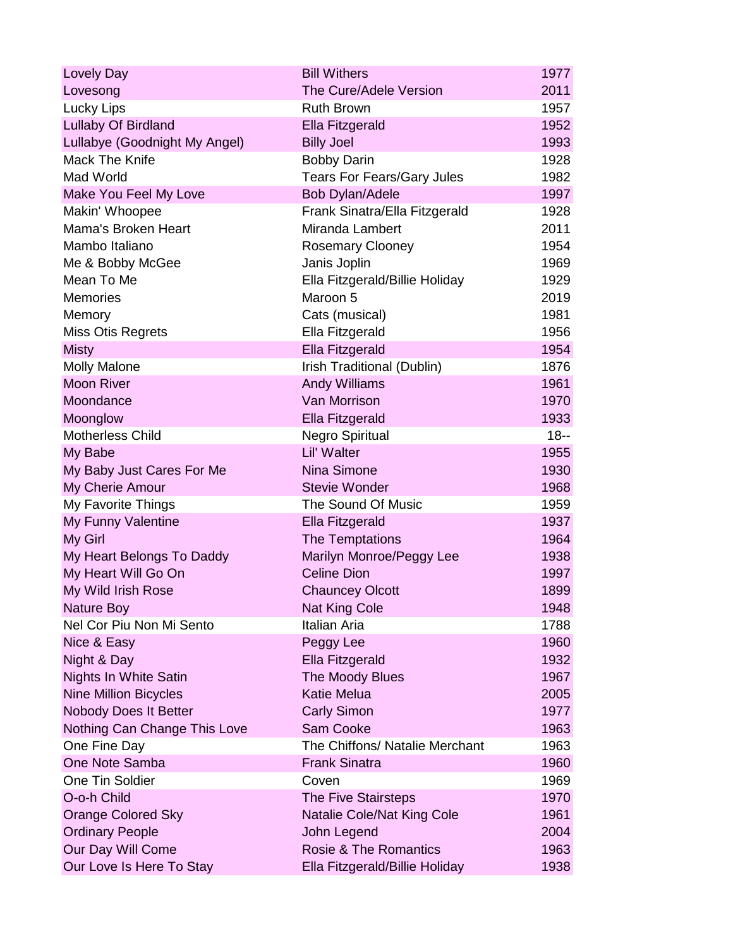| Lovely Day                    | <b>Bill Withers</b>               | 1977   |
|-------------------------------|-----------------------------------|--------|
| Lovesong                      | The Cure/Adele Version            | 2011   |
| <b>Lucky Lips</b>             | <b>Ruth Brown</b>                 | 1957   |
| Lullaby Of Birdland           | <b>Ella Fitzgerald</b>            | 1952   |
| Lullabye (Goodnight My Angel) | <b>Billy Joel</b>                 | 1993   |
| Mack The Knife                | <b>Bobby Darin</b>                | 1928   |
| Mad World                     | <b>Tears For Fears/Gary Jules</b> | 1982   |
| Make You Feel My Love         | Bob Dylan/Adele                   | 1997   |
| Makin' Whoopee                | Frank Sinatra/Ella Fitzgerald     | 1928   |
| Mama's Broken Heart           | Miranda Lambert                   | 2011   |
| Mambo Italiano                | <b>Rosemary Clooney</b>           | 1954   |
| Me & Bobby McGee              | Janis Joplin                      | 1969   |
| Mean To Me                    | Ella Fitzgerald/Billie Holiday    | 1929   |
| <b>Memories</b>               | Maroon 5                          | 2019   |
| Memory                        | Cats (musical)                    | 1981   |
| Miss Otis Regrets             | Ella Fitzgerald                   | 1956   |
| <b>Misty</b>                  | Ella Fitzgerald                   | 1954   |
| <b>Molly Malone</b>           | Irish Traditional (Dublin)        | 1876   |
| <b>Moon River</b>             | <b>Andy Williams</b>              | 1961   |
| Moondance                     | Van Morrison                      | 1970   |
| Moonglow                      | Ella Fitzgerald                   | 1933   |
| <b>Motherless Child</b>       | <b>Negro Spiritual</b>            | $18 -$ |
| My Babe                       | Lil' Walter                       | 1955   |
| My Baby Just Cares For Me     | Nina Simone                       | 1930   |
| My Cherie Amour               | <b>Stevie Wonder</b>              | 1968   |
| My Favorite Things            | The Sound Of Music                | 1959   |
| My Funny Valentine            | Ella Fitzgerald                   | 1937   |
| My Girl                       | The Temptations                   | 1964   |
| My Heart Belongs To Daddy     | Marilyn Monroe/Peggy Lee          | 1938   |
| My Heart Will Go On           | <b>Celine Dion</b>                | 1997   |
| My Wild Irish Rose            | <b>Chauncey Olcott</b>            | 1899   |
| Nature Boy                    | <b>Nat King Cole</b>              | 1948   |
| Nel Cor Piu Non Mi Sento      | Italian Aria                      | 1788   |
| Nice & Easy                   | Peggy Lee                         | 1960   |
| Night & Day                   | Ella Fitzgerald                   | 1932   |
| <b>Nights In White Satin</b>  | The Moody Blues                   | 1967   |
| <b>Nine Million Bicycles</b>  | <b>Katie Melua</b>                | 2005   |
| Nobody Does It Better         | <b>Carly Simon</b>                | 1977   |
| Nothing Can Change This Love  | Sam Cooke                         | 1963   |
| One Fine Day                  | The Chiffons/ Natalie Merchant    | 1963   |
| One Note Samba                | <b>Frank Sinatra</b>              | 1960   |
| One Tin Soldier               | Coven                             | 1969   |
| O-o-h Child                   | The Five Stairsteps               | 1970   |
| <b>Orange Colored Sky</b>     | Natalie Cole/Nat King Cole        | 1961   |
| <b>Ordinary People</b>        | John Legend                       | 2004   |
| Our Day Will Come             | <b>Rosie &amp; The Romantics</b>  | 1963   |
| Our Love Is Here To Stay      | Ella Fitzgerald/Billie Holiday    | 1938   |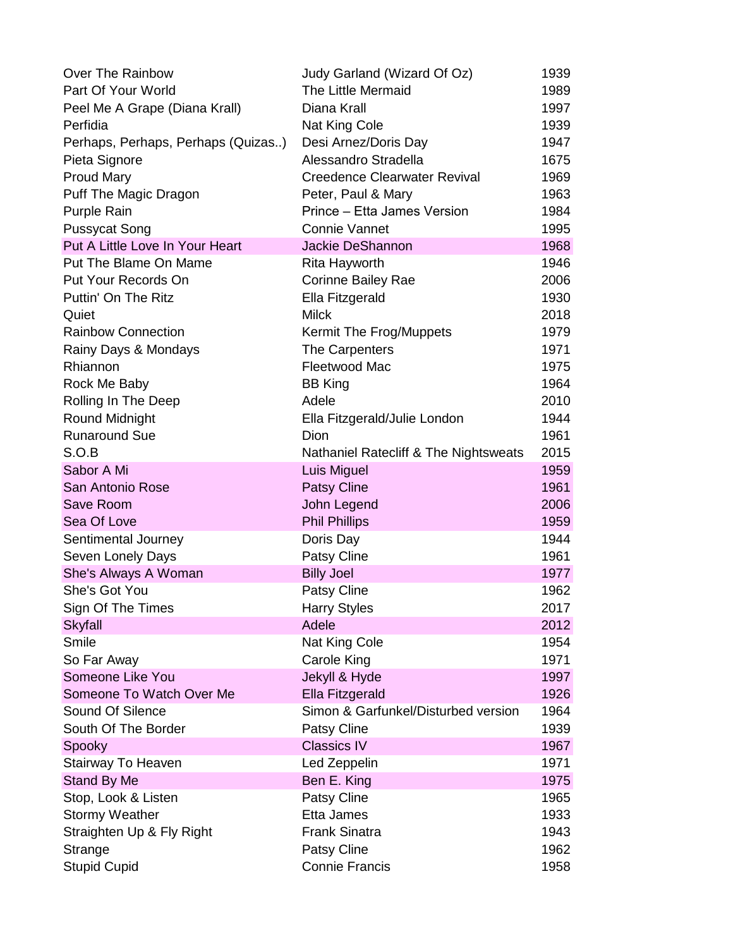| Over The Rainbow                   | Judy Garland (Wizard Of Oz)           | 1939 |
|------------------------------------|---------------------------------------|------|
| Part Of Your World                 | <b>The Little Mermaid</b>             | 1989 |
| Peel Me A Grape (Diana Krall)      | Diana Krall                           | 1997 |
| Perfidia                           | Nat King Cole                         | 1939 |
| Perhaps, Perhaps, Perhaps (Quizas) | Desi Arnez/Doris Day                  | 1947 |
| Pieta Signore                      | Alessandro Stradella                  | 1675 |
| <b>Proud Mary</b>                  | <b>Creedence Clearwater Revival</b>   | 1969 |
| Puff The Magic Dragon              | Peter, Paul & Mary                    | 1963 |
| Purple Rain                        | Prince – Etta James Version           | 1984 |
| <b>Pussycat Song</b>               | <b>Connie Vannet</b>                  | 1995 |
| Put A Little Love In Your Heart    | Jackie DeShannon                      | 1968 |
| Put The Blame On Mame              | Rita Hayworth                         | 1946 |
| Put Your Records On                | Corinne Bailey Rae                    | 2006 |
| Puttin' On The Ritz                | Ella Fitzgerald                       | 1930 |
| Quiet                              | <b>Milck</b>                          | 2018 |
| <b>Rainbow Connection</b>          | Kermit The Frog/Muppets               | 1979 |
| Rainy Days & Mondays               | The Carpenters                        | 1971 |
| Rhiannon                           | Fleetwood Mac                         | 1975 |
| Rock Me Baby                       | <b>BB King</b>                        | 1964 |
| Rolling In The Deep                | Adele                                 | 2010 |
| Round Midnight                     | Ella Fitzgerald/Julie London          | 1944 |
| <b>Runaround Sue</b>               | Dion                                  | 1961 |
| S.O.B                              | Nathaniel Ratecliff & The Nightsweats | 2015 |
| Sabor A Mi                         | <b>Luis Miguel</b>                    | 1959 |
| San Antonio Rose                   | <b>Patsy Cline</b>                    | 1961 |
| Save Room                          | John Legend                           | 2006 |
| Sea Of Love                        | <b>Phil Phillips</b>                  | 1959 |
| Sentimental Journey                | Doris Day                             | 1944 |
| Seven Lonely Days                  | Patsy Cline                           | 1961 |
| She's Always A Woman               | <b>Billy Joel</b>                     | 1977 |
| She's Got You                      | Patsy Cline                           | 1962 |
| Sign Of The Times                  | <b>Harry Styles</b>                   | 2017 |
| <b>Skyfall</b>                     | Adele                                 | 2012 |
| Smile                              | Nat King Cole                         | 1954 |
| So Far Away                        | Carole King                           | 1971 |
| Someone Like You                   | Jekyll & Hyde                         | 1997 |
| Someone To Watch Over Me           | Ella Fitzgerald                       | 1926 |
| Sound Of Silence                   | Simon & Garfunkel/Disturbed version   | 1964 |
| South Of The Border                | Patsy Cline                           | 1939 |
| Spooky                             | <b>Classics IV</b>                    | 1967 |
| Stairway To Heaven                 | Led Zeppelin                          | 1971 |
| Stand By Me                        | Ben E. King                           | 1975 |
| Stop, Look & Listen                | Patsy Cline                           | 1965 |
| <b>Stormy Weather</b>              | Etta James                            | 1933 |
| Straighten Up & Fly Right          | <b>Frank Sinatra</b>                  | 1943 |
| Strange                            | Patsy Cline                           | 1962 |
| <b>Stupid Cupid</b>                | <b>Connie Francis</b>                 | 1958 |
|                                    |                                       |      |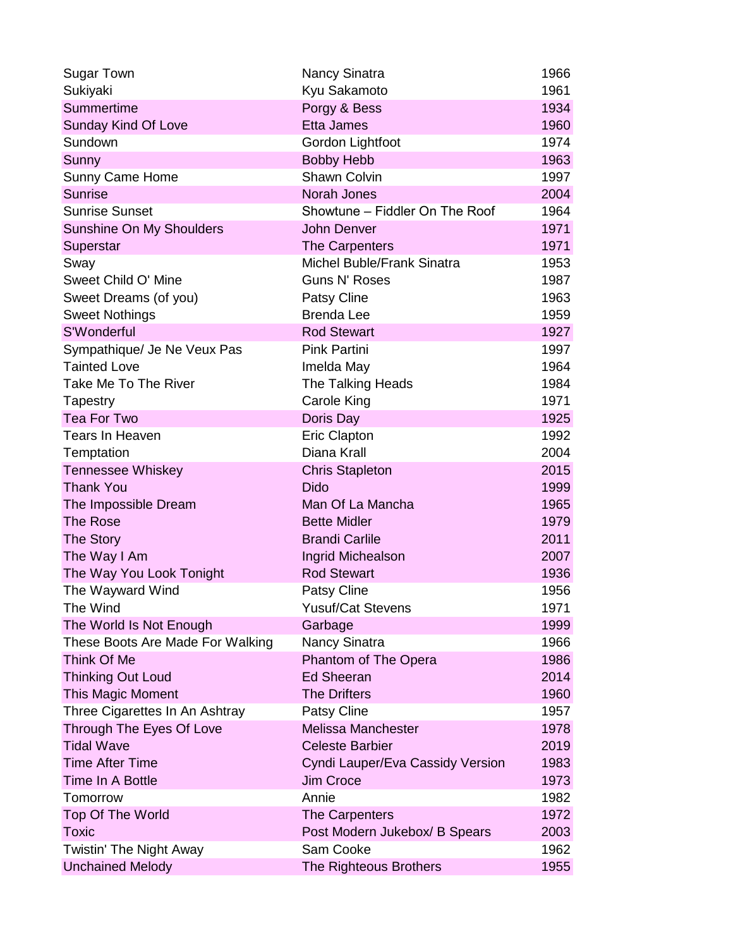| <b>Sugar Town</b>                | <b>Nancy Sinatra</b>             | 1966 |
|----------------------------------|----------------------------------|------|
| Sukiyaki                         | Kyu Sakamoto                     | 1961 |
| Summertime                       | Porgy & Bess                     | 1934 |
| Sunday Kind Of Love              | <b>Etta James</b>                | 1960 |
| Sundown                          | Gordon Lightfoot                 | 1974 |
| Sunny                            | <b>Bobby Hebb</b>                | 1963 |
| Sunny Came Home                  | Shawn Colvin                     | 1997 |
| <b>Sunrise</b>                   | Norah Jones                      | 2004 |
| <b>Sunrise Sunset</b>            | Showtune - Fiddler On The Roof   | 1964 |
| Sunshine On My Shoulders         | <b>John Denver</b>               | 1971 |
| Superstar                        | <b>The Carpenters</b>            | 1971 |
| Sway                             | Michel Buble/Frank Sinatra       | 1953 |
| Sweet Child O' Mine              | <b>Guns N' Roses</b>             | 1987 |
| Sweet Dreams (of you)            | Patsy Cline                      | 1963 |
| <b>Sweet Nothings</b>            | <b>Brenda Lee</b>                | 1959 |
| S'Wonderful                      | <b>Rod Stewart</b>               | 1927 |
| Sympathique/ Je Ne Veux Pas      | <b>Pink Partini</b>              | 1997 |
| <b>Tainted Love</b>              | Imelda May                       | 1964 |
| Take Me To The River             | <b>The Talking Heads</b>         | 1984 |
| Tapestry                         | Carole King                      | 1971 |
| <b>Tea For Two</b>               | Doris Day                        | 1925 |
| Tears In Heaven                  | <b>Eric Clapton</b>              | 1992 |
| Temptation                       | Diana Krall                      | 2004 |
| <b>Tennessee Whiskey</b>         | <b>Chris Stapleton</b>           | 2015 |
| <b>Thank You</b>                 | <b>Dido</b>                      | 1999 |
| The Impossible Dream             | Man Of La Mancha                 | 1965 |
| The Rose                         | <b>Bette Midler</b>              | 1979 |
| <b>The Story</b>                 | <b>Brandi Carlile</b>            | 2011 |
| The Way I Am                     | Ingrid Michealson                | 2007 |
| The Way You Look Tonight         | <b>Rod Stewart</b>               | 1936 |
| The Wayward Wind                 | <b>Patsy Cline</b>               | 1956 |
| The Wind                         | <b>Yusuf/Cat Stevens</b>         | 1971 |
| The World Is Not Enough          | Garbage                          | 1999 |
| These Boots Are Made For Walking | Nancy Sinatra                    | 1966 |
| Think Of Me                      | Phantom of The Opera             | 1986 |
| <b>Thinking Out Loud</b>         | <b>Ed Sheeran</b>                | 2014 |
| <b>This Magic Moment</b>         | <b>The Drifters</b>              | 1960 |
| Three Cigarettes In An Ashtray   | <b>Patsy Cline</b>               | 1957 |
| Through The Eyes Of Love         | Melissa Manchester               | 1978 |
| <b>Tidal Wave</b>                | <b>Celeste Barbier</b>           | 2019 |
| <b>Time After Time</b>           | Cyndi Lauper/Eva Cassidy Version | 1983 |
| Time In A Bottle                 | <b>Jim Croce</b>                 | 1973 |
| Tomorrow                         | Annie                            | 1982 |
| <b>Top Of The World</b>          | <b>The Carpenters</b>            | 1972 |
| <b>Toxic</b>                     | Post Modern Jukebox/ B Spears    | 2003 |
| Twistin' The Night Away          | Sam Cooke                        | 1962 |
| <b>Unchained Melody</b>          | The Righteous Brothers           | 1955 |